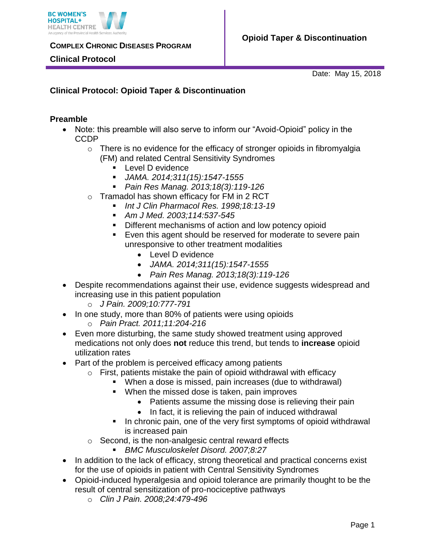

### **Clinical Protocol**

Date: May 15, 2018

## **Clinical Protocol: Opioid Taper & Discontinuation**

### **Preamble**

- Note: this preamble will also serve to inform our "Avoid-Opioid" policy in the CCDP
	- o There is no evidence for the efficacy of stronger opioids in fibromyalgia (FM) and related Central Sensitivity Syndromes
		- **Level D evidence**
		- *JAMA. 2014;311(15):1547-1555*
		- *Pain Res Manag. 2013;18(3):119-126*
	- o Tramadol has shown efficacy for FM in 2 RCT
		- *Int J Clin Pharmacol Res. 1998;18:13-19*
		- *Am J Med. 2003;114:537-545*
		- Different mechanisms of action and low potency opioid
		- Even this agent should be reserved for moderate to severe pain unresponsive to other treatment modalities
			- Level D evidence
			- *JAMA. 2014;311(15):1547-1555*
			- *Pain Res Manag. 2013;18(3):119-126*
- Despite recommendations against their use, evidence suggests widespread and increasing use in this patient population
	- o *J Pain. 2009;10:777-791*
- In one study, more than 80% of patients were using opioids
	- o *Pain Pract. 2011;11:204-216*
- Even more disturbing, the same study showed treatment using approved medications not only does **not** reduce this trend, but tends to **increase** opioid utilization rates
- Part of the problem is perceived efficacy among patients
	- $\circ$  First, patients mistake the pain of opioid withdrawal with efficacy
		- When a dose is missed, pain increases (due to withdrawal)
		- **When the missed dose is taken, pain improves** 
			- Patients assume the missing dose is relieving their pain
			- In fact, it is relieving the pain of induced withdrawal
		- In chronic pain, one of the very first symptoms of opioid withdrawal is increased pain
	- o Second, is the non-analgesic central reward effects
		- *BMC Musculoskelet Disord. 2007;8:27*
- In addition to the lack of efficacy, strong theoretical and practical concerns exist for the use of opioids in patient with Central Sensitivity Syndromes
- Opioid-induced hyperalgesia and opioid tolerance are primarily thought to be the result of central sensitization of pro-nociceptive pathways
	- o *Clin J Pain. 2008;24:479-496*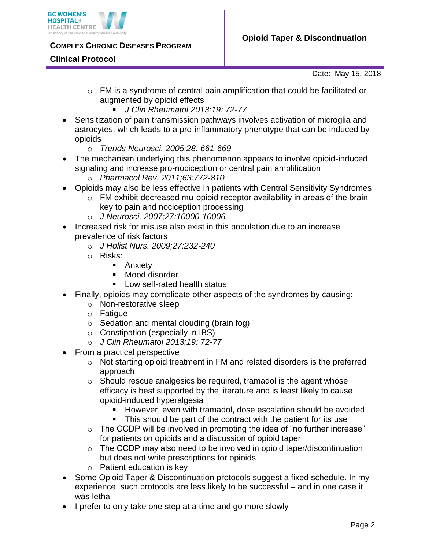

### **Clinical Protocol**

Date: May 15, 2018

- $\circ$  FM is a syndrome of central pain amplification that could be facilitated or augmented by opioid effects
	- *J Clin Rheumatol 2013;19: 72-77*
- Sensitization of pain transmission pathways involves activation of microglia and astrocytes, which leads to a pro-inflammatory phenotype that can be induced by opioids
	- o *Trends Neurosci. 2005;28: 661-669*
- The mechanism underlying this phenomenon appears to involve opioid-induced signaling and increase pro-nociception or central pain amplification
	- o *Pharmacol Rev. 2011;63:772-810*
- Opioids may also be less effective in patients with Central Sensitivity Syndromes
	- $\circ$  FM exhibit decreased mu-opioid receptor availability in areas of the brain key to pain and nociception processing
	- o *J Neurosci. 2007;27:10000-10006*
- Increased risk for misuse also exist in this population due to an increase prevalence of risk factors
	- o *J Holist Nurs. 2009;27:232-240*
	- o Risks:
		- **Anxiety**
		- **Mood disorder**
		- Low self-rated health status
- Finally, opioids may complicate other aspects of the syndromes by causing:
	- o Non-restorative sleep
		- o Fatigue
		- o Sedation and mental clouding (brain fog)
		- o Constipation (especially in IBS)
		- o *J Clin Rheumatol 2013;19: 72-77*
- From a practical perspective
	- o Not starting opioid treatment in FM and related disorders is the preferred approach
	- o Should rescue analgesics be required, tramadol is the agent whose efficacy is best supported by the literature and is least likely to cause opioid-induced hyperalgesia
		- However, even with tramadol, dose escalation should be avoided
		- This should be part of the contract with the patient for its use
	- $\circ$  The CCDP will be involved in promoting the idea of "no further increase" for patients on opioids and a discussion of opioid taper
	- o The CCDP may also need to be involved in opioid taper/discontinuation but does not write prescriptions for opioids
	- o Patient education is key
- Some Opioid Taper & Discontinuation protocols suggest a fixed schedule. In my experience, such protocols are less likely to be successful – and in one case it was lethal
- I prefer to only take one step at a time and go more slowly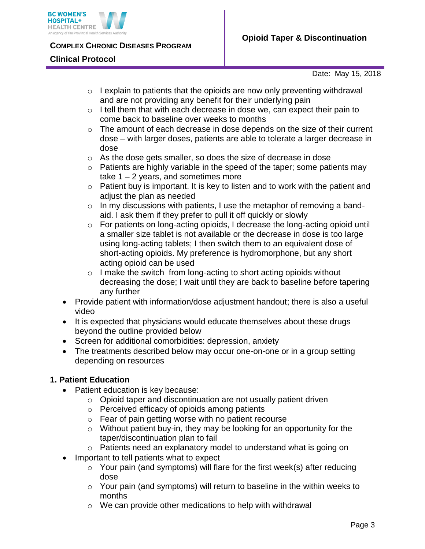

#### **Clinical Protocol**

Date: May 15, 2018

- $\circ$  I explain to patients that the opioids are now only preventing withdrawal and are not providing any benefit for their underlying pain
- $\circ$  I tell them that with each decrease in dose we, can expect their pain to come back to baseline over weeks to months
- o The amount of each decrease in dose depends on the size of their current dose – with larger doses, patients are able to tolerate a larger decrease in dose
- o As the dose gets smaller, so does the size of decrease in dose
- o Patients are highly variable in the speed of the taper; some patients may take  $1 - 2$  years, and sometimes more
- $\circ$  Patient buy is important. It is key to listen and to work with the patient and adjust the plan as needed
- $\circ$  In my discussions with patients, I use the metaphor of removing a bandaid. I ask them if they prefer to pull it off quickly or slowly
- o For patients on long-acting opioids, I decrease the long-acting opioid until a smaller size tablet is not available or the decrease in dose is too large using long-acting tablets; I then switch them to an equivalent dose of short-acting opioids. My preference is hydromorphone, but any short acting opioid can be used
- $\circ$  I make the switch from long-acting to short acting opioids without decreasing the dose; I wait until they are back to baseline before tapering any further
- Provide patient with information/dose adjustment handout; there is also a useful video
- It is expected that physicians would educate themselves about these drugs beyond the outline provided below
- Screen for additional comorbidities: depression, anxiety
- The treatments described below may occur one-on-one or in a group setting depending on resources

## **1. Patient Education**

- Patient education is key because:
	- $\circ$  Opioid taper and discontinuation are not usually patient driven
	- o Perceived efficacy of opioids among patients
	- o Fear of pain getting worse with no patient recourse
	- o Without patient buy-in, they may be looking for an opportunity for the taper/discontinuation plan to fail
	- o Patients need an explanatory model to understand what is going on
- Important to tell patients what to expect
	- o Your pain (and symptoms) will flare for the first week(s) after reducing dose
	- $\circ$  Your pain (and symptoms) will return to baseline in the within weeks to months
	- o We can provide other medications to help with withdrawal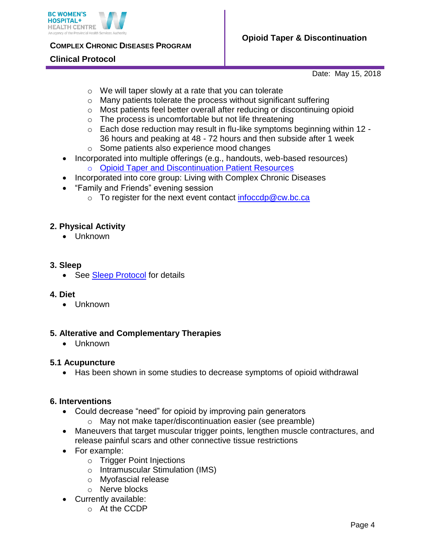

### **Clinical Protocol**

Date: May 15, 2018

- o We will taper slowly at a rate that you can tolerate
- o Many patients tolerate the process without significant suffering
- o Most patients feel better overall after reducing or discontinuing opioid
- $\circ$  The process is uncomfortable but not life threatening
- o Each dose reduction may result in flu-like symptoms beginning within 12 36 hours and peaking at 48 - 72 hours and then subside after 1 week
- o Some patients also experience mood changes
- Incorporated into multiple offerings (e.g., handouts, web-based resources) o [Opioid Taper and Discontinuation Patient Resources](http://www.bcwomens.ca/health-info/living-with-illness/living-with-complex-chronic-disease/opioid-taper)
- Incorporated into core group: Living with Complex Chronic Diseases
- "Family and Friends" evening session
	- o To register for the next event contact [infoccdp@cw.bc.ca](mailto:infoccdp@cw.bc.ca)

### **2. Physical Activity**

• Unknown

### **3. Sleep**

• See [Sleep Protocol](http://www.bcwomens.ca/Specialized-Services-Site/Documents/Complex%20Chronic%20Diseases%20(CCDP)/Clinical%20Protocol-Sleep.pdf) for details

### **4. Diet**

• Unknown

### **5. Alterative and Complementary Therapies**

Unknown

### **5.1 Acupuncture**

Has been shown in some studies to decrease symptoms of opioid withdrawal

### **6. Interventions**

- Could decrease "need" for opioid by improving pain generators
	- o May not make taper/discontinuation easier (see preamble)
- Maneuvers that target muscular trigger points, lengthen muscle contractures, and release painful scars and other connective tissue restrictions
- For example:
	- o Trigger Point Injections
	- o Intramuscular Stimulation (IMS)
	- o Myofascial release
	- o Nerve blocks
- Currently available:
	- o At the CCDP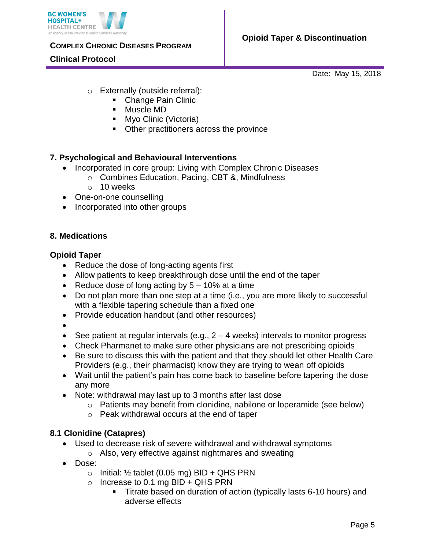

### **Clinical Protocol**

Date: May 15, 2018

- o Externally (outside referral):
	- Change Pain Clinic
	- Muscle MD
	- **Myo Clinic (Victoria)**
	- **Other practitioners across the province**

# **7. Psychological and Behavioural Interventions**

- Incorporated in core group: Living with Complex Chronic Diseases
	- o Combines Education, Pacing, CBT &, Mindfulness
	- o 10 weeks
- One-on-one counselling
- Incorporated into other groups

### **8. Medications**

### **Opioid Taper**

- Reduce the dose of long-acting agents first
- Allow patients to keep breakthrough dose until the end of the taper
- Reduce dose of long acting by  $5 10\%$  at a time
- Do not plan more than one step at a time (i.e., you are more likely to successful with a flexible tapering schedule than a fixed one
- Provide education handout (and other resources)
- $\bullet$
- See patient at regular intervals (e.g.,  $2 4$  weeks) intervals to monitor progress
- Check Pharmanet to make sure other physicians are not prescribing opioids
- Be sure to discuss this with the patient and that they should let other Health Care Providers (e.g., their pharmacist) know they are trying to wean off opioids
- Wait until the patient's pain has come back to baseline before tapering the dose any more
- Note: withdrawal may last up to 3 months after last dose
	- o Patients may benefit from clonidine, nabilone or loperamide (see below)
	- o Peak withdrawal occurs at the end of taper

## **8.1 Clonidine (Catapres)**

- Used to decrease risk of severe withdrawal and withdrawal symptoms
	- o Also, very effective against nightmares and sweating
- Dose:
	- $\circ$  Initial: 1/<sub>2</sub> tablet (0.05 mg) BID + QHS PRN
	- $\circ$  Increase to 0.1 mg BID + QHS PRN
		- Titrate based on duration of action (typically lasts 6-10 hours) and adverse effects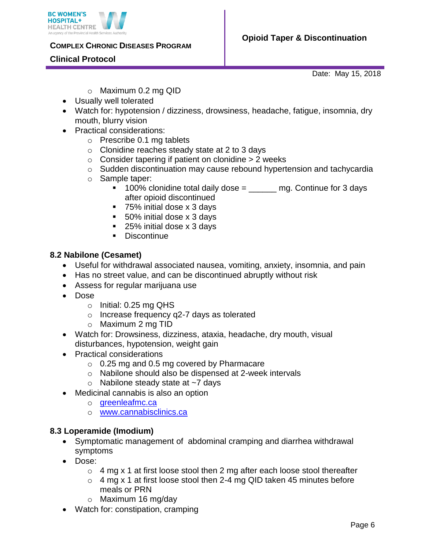



### **Clinical Protocol**

Date: May 15, 2018

- o Maximum 0.2 mg QID
- Usually well tolerated
- Watch for: hypotension / dizziness, drowsiness, headache, fatigue, insomnia, dry mouth, blurry vision
- Practical considerations:
	- o Prescribe 0.1 mg tablets
	- o Clonidine reaches steady state at 2 to 3 days
	- $\circ$  Consider tapering if patient on clonidine  $> 2$  weeks
	- o Sudden discontinuation may cause rebound hypertension and tachycardia
	- o Sample taper:
		- $100\%$  clonidine total daily dose =  $\qquad$  mg. Continue for 3 days after opioid discontinued
		- 75% initial dose x 3 days
		- 50% initial dose x 3 days
		- 25% initial dose x 3 days
		- Discontinue

#### **8.2 Nabilone (Cesamet)**

- Useful for withdrawal associated nausea, vomiting, anxiety, insomnia, and pain
- Has no street value, and can be discontinued abruptly without risk
- Assess for regular marijuana use
- Dose
	- $\circ$  Initial: 0.25 mg QHS
	- o Increase frequency q2-7 days as tolerated
	- o Maximum 2 mg TID
- Watch for: Drowsiness, dizziness, ataxia, headache, dry mouth, visual disturbances, hypotension, weight gain
- Practical considerations
	- $\circ$  0.25 mg and 0.5 mg covered by Pharmacare
	- o Nabilone should also be dispensed at 2-week intervals
	- $\circ$  Nabilone steady state at  $\sim$ 7 days
- Medicinal cannabis is also an option
	- o [greenleafmc.ca](https://greenleafmc.ca/)
	- o [www.cannabisclinics.ca](https://www.cannabisclinics.ca/home/)

### **8.3 Loperamide (Imodium)**

- Symptomatic management of abdominal cramping and diarrhea withdrawal symptoms
- Dose:
	- $\circ$  4 mg x 1 at first loose stool then 2 mg after each loose stool thereafter
	- $\circ$  4 mg x 1 at first loose stool then 2-4 mg QID taken 45 minutes before meals or PRN
	- o Maximum 16 mg/day
- Watch for: constipation, cramping